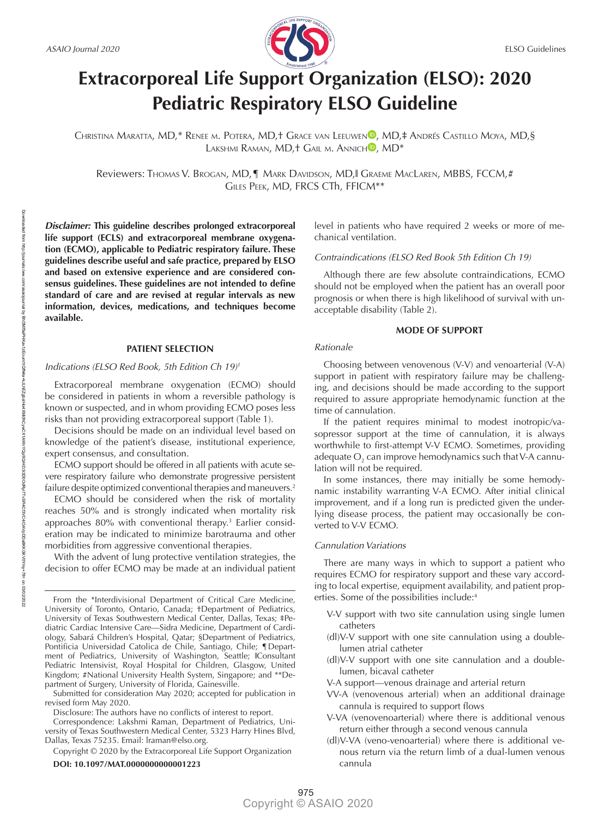

# **Extracorporeal Life Support Organization (ELSO): 2020 Pediatric Respiratory ELSO Guideline**

CHRISTI[N](https://orcid.org/0000-0003-3163-3057)A MARATTA, MD,\* RENEE M. POTERA, MD,† GRACE VAN LEEUWEN<sup>®</sup>, MD,‡ ANDRÉS CASTILLO MOYA, MD,§ LAKS[H](https://orcid.org/0000-0001-9833-5711)MI RAMAN, MD, + GAIL M. ANNICH<sup>D</sup>, MD<sup>\*</sup>

Reviewers: THOMAS V. BROGAN, MD,¶ MARK DAVIDSON, MD,‖ GRAEME MACLAREN, MBBS, FCCM,# GILES PEEK, MD, FRCS CTh, FFICM\*\*

*Disclaimer:* **This guideline describes prolonged extracorporeal life support (ECLS) and extracorporeal membrane oxygenation (ECMO), applicable to Pediatric respiratory failure. These guidelines describe useful and safe practice, prepared by ELSO and based on extensive experience and are considered consensus guidelines. These guidelines are not intended to define standard of care and are revised at regular intervals as new information, devices, medications, and techniques become available.**

# **PATIENT SELECTION**

#### *Indications (ELSO Red Book, 5th Edition Ch 19)<sup>1</sup>*

Extracorporeal membrane oxygenation (ECMO) should be considered in patients in whom a reversible pathology is known or suspected, and in whom providing ECMO poses less risks than not providing extracorporeal support (Table 1).

Decisions should be made on an individual level based on knowledge of the patient's disease, institutional experience, expert consensus, and consultation.

ECMO support should be offered in all patients with acute severe respiratory failure who demonstrate progressive persistent failure despite optimized conventional therapies and maneuvers.<sup>2</sup>

ECMO should be considered when the risk of mortality reaches 50% and is strongly indicated when mortality risk approaches 80% with conventional therapy.3 Earlier consideration may be indicated to minimize barotrauma and other morbidities from aggressive conventional therapies.

With the advent of lung protective ventilation strategies, the decision to offer ECMO may be made at an individual patient

Submitted for consideration May 2020; accepted for publication in revised form May 2020.

Disclosure: The authors have no conflicts of interest to report.

Correspondence: Lakshmi Raman, Department of Pediatrics, University of Texas Southwestern Medical Center, 5323 Harry Hines Blvd, Dallas, Texas 75235. [Email: lraman@elso.org](mailto:Email:lraman@elso.org).

Copyright © 2020 by the Extracorporeal Life Support Organization

# **DOI: 10.1097/MAT.0000000000001223**

level in patients who have required 2 weeks or more of mechanical ventilation.

## *Contraindications (ELSO Red Book 5th Edition Ch 19)*

Although there are few absolute contraindications, ECMO should not be employed when the patient has an overall poor prognosis or when there is high likelihood of survival with unacceptable disability (Table 2).

## **MODE OF SUPPORT**

## *Rationale*

Choosing between venovenous (V-V) and venoarterial (V-A) support in patient with respiratory failure may be challenging, and decisions should be made according to the support required to assure appropriate hemodynamic function at the time of cannulation.

If the patient requires minimal to modest inotropic/vasopressor support at the time of cannulation, it is always worthwhile to first-attempt V-V ECMO. Sometimes, providing adequate  $\mathrm{O}_\mathrm{2}$  can improve hemodynamics such that V-A cannulation will not be required.

In some instances, there may initially be some hemodynamic instability warranting V-A ECMO. After initial clinical improvement, and if a long run is predicted given the underlying disease process, the patient may occasionally be converted to V-V ECMO.

# *Cannulation Variations*

There are many ways in which to support a patient who requires ECMO for respiratory support and these vary according to local expertise, equipment availability, and patient properties. Some of the possibilities include:4

- V-V support with two site cannulation using single lumen catheters
- (dl)V-V support with one site cannulation using a doublelumen atrial catheter
- (dl)V-V support with one site cannulation and a doublelumen, bicaval catheter
- V-A support—venous drainage and arterial return
- VV-A (venovenous arterial) when an additional drainage cannula is required to support flows
- V-VA (venovenoarterial) where there is additional venous return either through a second venous cannula
- (dl)V-VA (veno-venoarterial) where there is additional venous return via the return limb of a dual-lumen venous cannula

From the \*Interdivisional Department of Critical Care Medicine, University of Toronto, Ontario, Canada; †Department of Pediatrics, University of Texas Southwestern Medical Center, Dallas, Texas; ‡Pediatric Cardiac Intensive Care—Sidra Medicine, Department of Cardiology, Sabará Children's Hospital, Qatar; §Department of Pediatrics, Pontificia Universidad Catolica de Chile, Santiago, Chile; ¶Department of Pediatrics, University of Washington, Seattle; ‖Consultant Pediatric Intensivist, Royal Hospital for Children, Glasgow, United Kingdom; #National University Health System, Singapore; and \*\*Department of Surgery, University of Florida, Gainesville.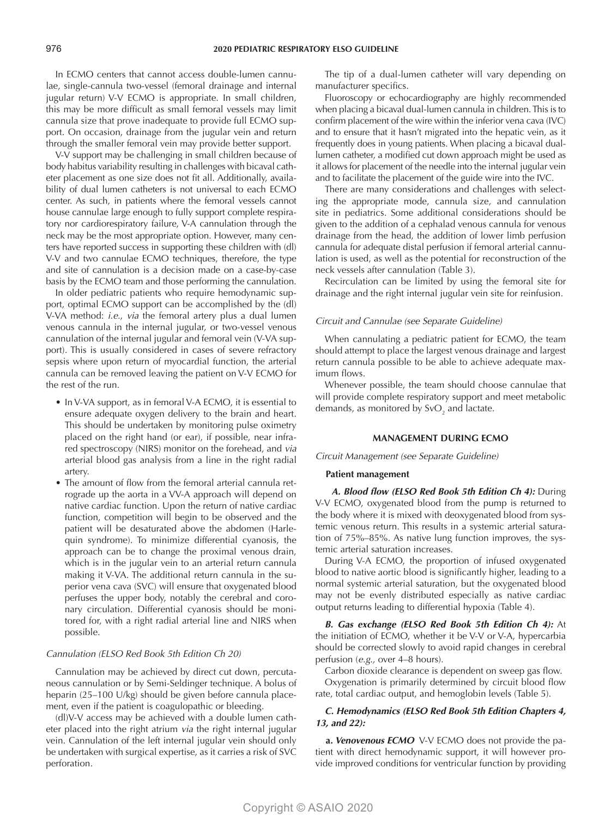In ECMO centers that cannot access double-lumen cannulae, single-cannula two-vessel (femoral drainage and internal jugular return) V-V ECMO is appropriate. In small children, this may be more difficult as small femoral vessels may limit cannula size that prove inadequate to provide full ECMO support. On occasion, drainage from the jugular vein and return through the smaller femoral vein may provide better support.

V-V support may be challenging in small children because of body habitus variability resulting in challenges with bicaval catheter placement as one size does not fit all. Additionally, availability of dual lumen catheters is not universal to each ECMO center. As such, in patients where the femoral vessels cannot house cannulae large enough to fully support complete respiratory nor cardiorespiratory failure, V-A cannulation through the neck may be the most appropriate option. However, many centers have reported success in supporting these children with (dl) V-V and two cannulae ECMO techniques, therefore, the type and site of cannulation is a decision made on a case-by-case basis by the ECMO team and those performing the cannulation.

In older pediatric patients who require hemodynamic support, optimal ECMO support can be accomplished by the (dl) V-VA method: *i.e.*, *via* the femoral artery plus a dual lumen venous cannula in the internal jugular, or two-vessel venous cannulation of the internal jugular and femoral vein (V-VA support). This is usually considered in cases of severe refractory sepsis where upon return of myocardial function, the arterial cannula can be removed leaving the patient on V-V ECMO for the rest of the run.

- In V-VA support, as in femoral V-A ECMO, it is essential to ensure adequate oxygen delivery to the brain and heart. This should be undertaken by monitoring pulse oximetry placed on the right hand (or ear), if possible, near infrared spectroscopy (NIRS) monitor on the forehead, and *via* arterial blood gas analysis from a line in the right radial artery.
- The amount of flow from the femoral arterial cannula retrograde up the aorta in a VV-A approach will depend on native cardiac function. Upon the return of native cardiac function, competition will begin to be observed and the patient will be desaturated above the abdomen (Harlequin syndrome). To minimize differential cyanosis, the approach can be to change the proximal venous drain, which is in the jugular vein to an arterial return cannula making it V-VA. The additional return cannula in the superior vena cava (SVC) will ensure that oxygenated blood perfuses the upper body, notably the cerebral and coronary circulation. Differential cyanosis should be monitored for, with a right radial arterial line and NIRS when possible.

# *Cannulation (ELSO Red Book 5th Edition Ch 20)*

Cannulation may be achieved by direct cut down, percutaneous cannulation or by Semi-Seldinger technique. A bolus of heparin (25–100 U/kg) should be given before cannula placement, even if the patient is coagulopathic or bleeding.

(dl)V-V access may be achieved with a double lumen catheter placed into the right atrium *via* the right internal jugular vein. Cannulation of the left internal jugular vein should only be undertaken with surgical expertise, as it carries a risk of SVC perforation.

The tip of a dual-lumen catheter will vary depending on manufacturer specifics.

Fluoroscopy or echocardiography are highly recommended when placing a bicaval dual-lumen cannula in children. This is to confirm placement of the wire within the inferior vena cava (IVC) and to ensure that it hasn't migrated into the hepatic vein, as it frequently does in young patients. When placing a bicaval duallumen catheter, a modified cut down approach might be used as it allows for placement of the needle into the internal jugular vein and to facilitate the placement of the guide wire into the IVC.

There are many considerations and challenges with selecting the appropriate mode, cannula size, and cannulation site in pediatrics. Some additional considerations should be given to the addition of a cephalad venous cannula for venous drainage from the head, the addition of lower limb perfusion cannula for adequate distal perfusion if femoral arterial cannulation is used, as well as the potential for reconstruction of the neck vessels after cannulation (Table 3).

Recirculation can be limited by using the femoral site for drainage and the right internal jugular vein site for reinfusion.

# *Circuit and Cannulae (see Separate Guideline)*

When cannulating a pediatric patient for ECMO, the team should attempt to place the largest venous drainage and largest return cannula possible to be able to achieve adequate maximum flows.

Whenever possible, the team should choose cannulae that will provide complete respiratory support and meet metabolic demands, as monitored by SvO $_2$  and lactate.

## **MANAGEMENT DURING ECMO**

*Circuit Management (see Separate Guideline)*

## **Patient management**

 *A. Blood flow (ELSO Red Book 5th Edition Ch 4):* During V-V ECMO, oxygenated blood from the pump is returned to the body where it is mixed with deoxygenated blood from systemic venous return. This results in a systemic arterial saturation of 75%–85%. As native lung function improves, the systemic arterial saturation increases.

During V-A ECMO, the proportion of infused oxygenated blood to native aortic blood is significantly higher, leading to a normal systemic arterial saturation, but the oxygenated blood may not be evenly distributed especially as native cardiac output returns leading to differential hypoxia (Table 4).

*B. Gas exchange (ELSO Red Book 5th Edition Ch 4):* At the initiation of ECMO, whether it be V-V or V-A, hypercarbia should be corrected slowly to avoid rapid changes in cerebral perfusion (*e.g.,* over 4–8 hours).

Carbon dioxide clearance is dependent on sweep gas flow. Oxygenation is primarily determined by circuit blood flow rate, total cardiac output, and hemoglobin levels (Table 5).

# *C. Hemodynamics (ELSO Red Book 5th Edition Chapters 4, 13, and 22):*

**a.** *Venovenous ECMO* V-V ECMO does not provide the patient with direct hemodynamic support, it will however provide improved conditions for ventricular function by providing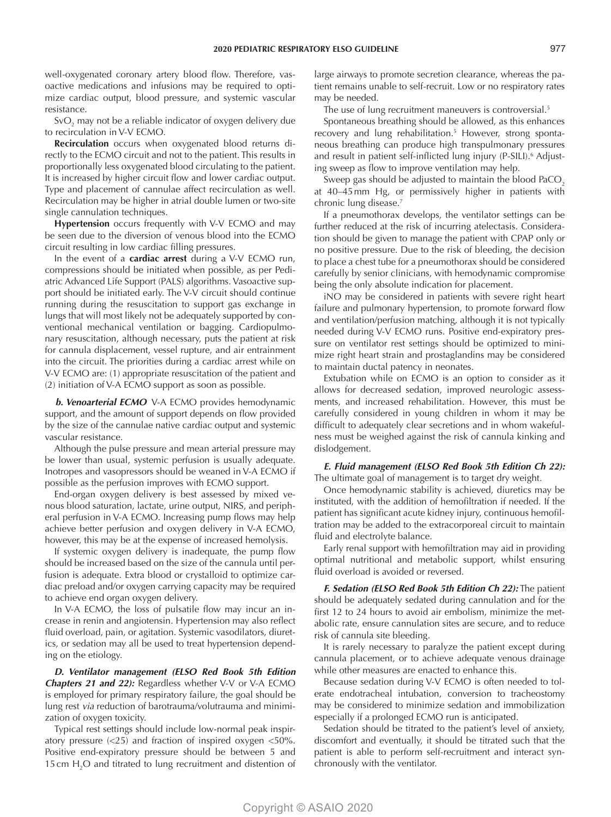well-oxygenated coronary artery blood flow. Therefore, vasoactive medications and infusions may be required to optimize cardiac output, blood pressure, and systemic vascular resistance.

SvO<sub>2</sub> may not be a reliable indicator of oxygen delivery due to recirculation in V-V ECMO.

**Recirculation** occurs when oxygenated blood returns directly to the ECMO circuit and not to the patient. This results in proportionally less oxygenated blood circulating to the patient. It is increased by higher circuit flow and lower cardiac output. Type and placement of cannulae affect recirculation as well. Recirculation may be higher in atrial double lumen or two-site single cannulation techniques.

**Hypertension** occurs frequently with V-V ECMO and may be seen due to the diversion of venous blood into the ECMO circuit resulting in low cardiac filling pressures.

In the event of a **cardiac arrest** during a V-V ECMO run, compressions should be initiated when possible, as per Pediatric Advanced Life Support (PALS) algorithms. Vasoactive support should be initiated early. The V-V circuit should continue running during the resuscitation to support gas exchange in lungs that will most likely not be adequately supported by conventional mechanical ventilation or bagging. Cardiopulmonary resuscitation, although necessary, puts the patient at risk for cannula displacement, vessel rupture, and air entrainment into the circuit. The priorities during a cardiac arrest while on V-V ECMO are: (1) appropriate resuscitation of the patient and (2) initiation of V-A ECMO support as soon as possible.

*b. Venoarterial ECMO* V-A ECMO provides hemodynamic support, and the amount of support depends on flow provided by the size of the cannulae native cardiac output and systemic vascular resistance.

Although the pulse pressure and mean arterial pressure may be lower than usual, systemic perfusion is usually adequate. Inotropes and vasopressors should be weaned in V-A ECMO if possible as the perfusion improves with ECMO support.

End-organ oxygen delivery is best assessed by mixed venous blood saturation, lactate, urine output, NIRS, and peripheral perfusion in V-A ECMO. Increasing pump flows may help achieve better perfusion and oxygen delivery in V-A ECMO, however, this may be at the expense of increased hemolysis.

If systemic oxygen delivery is inadequate, the pump flow should be increased based on the size of the cannula until perfusion is adequate. Extra blood or crystalloid to optimize cardiac preload and/or oxygen carrying capacity may be required to achieve end organ oxygen delivery.

In V-A ECMO, the loss of pulsatile flow may incur an increase in renin and angiotensin. Hypertension may also reflect fluid overload, pain, or agitation. Systemic vasodilators, diuretics, or sedation may all be used to treat hypertension depending on the etiology.

*D. Ventilator management (ELSO Red Book 5th Edition Chapters 21 and 22):* Regardless whether V-V or V-A ECMO is employed for primary respiratory failure, the goal should be lung rest *via* reduction of barotrauma/volutrauma and minimization of oxygen toxicity.

Typical rest settings should include low-normal peak inspiratory pressure (<25) and fraction of inspired oxygen <50%. Positive end-expiratory pressure should be between 5 and 15 cm  $H_2O$  and titrated to lung recruitment and distention of large airways to promote secretion clearance, whereas the patient remains unable to self-recruit. Low or no respiratory rates may be needed.

The use of lung recruitment maneuvers is controversial.<sup>5</sup>

Spontaneous breathing should be allowed, as this enhances recovery and lung rehabilitation.<sup>5</sup> However, strong spontaneous breathing can produce high transpulmonary pressures and result in patient self-inflicted lung injury (P-SILI).<sup>6</sup> Adjusting sweep as flow to improve ventilation may help.

Sweep gas should be adjusted to maintain the blood PaCO<sub>2</sub> at 40–45mm Hg, or permissively higher in patients with chronic lung disease.7

If a pneumothorax develops, the ventilator settings can be further reduced at the risk of incurring atelectasis. Consideration should be given to manage the patient with CPAP only or no positive pressure. Due to the risk of bleeding, the decision to place a chest tube for a pneumothorax should be considered carefully by senior clinicians, with hemodynamic compromise being the only absolute indication for placement.

iNO may be considered in patients with severe right heart failure and pulmonary hypertension, to promote forward flow and ventilation/perfusion matching, although it is not typically needed during V-V ECMO runs. Positive end-expiratory pressure on ventilator rest settings should be optimized to minimize right heart strain and prostaglandins may be considered to maintain ductal patency in neonates.

Extubation while on ECMO is an option to consider as it allows for decreased sedation, improved neurologic assessments, and increased rehabilitation. However, this must be carefully considered in young children in whom it may be difficult to adequately clear secretions and in whom wakefulness must be weighed against the risk of cannula kinking and dislodgement.

*E. Fluid management (ELSO Red Book 5th Edition Ch 22):* The ultimate goal of management is to target dry weight.

Once hemodynamic stability is achieved, diuretics may be instituted, with the addition of hemofiltration if needed. If the patient has significant acute kidney injury, continuous hemofiltration may be added to the extracorporeal circuit to maintain fluid and electrolyte balance.

Early renal support with hemofiltration may aid in providing optimal nutritional and metabolic support, whilst ensuring fluid overload is avoided or reversed.

*F. Sedation (ELSO Red Book 5th Edition Ch 22):* The patient should be adequately sedated during cannulation and for the first 12 to 24 hours to avoid air embolism, minimize the metabolic rate, ensure cannulation sites are secure, and to reduce risk of cannula site bleeding.

It is rarely necessary to paralyze the patient except during cannula placement, or to achieve adequate venous drainage while other measures are enacted to enhance this.

Because sedation during V-V ECMO is often needed to tolerate endotracheal intubation, conversion to tracheostomy may be considered to minimize sedation and immobilization especially if a prolonged ECMO run is anticipated.

Sedation should be titrated to the patient's level of anxiety, discomfort and eventually, it should be titrated such that the patient is able to perform self-recruitment and interact synchronously with the ventilator.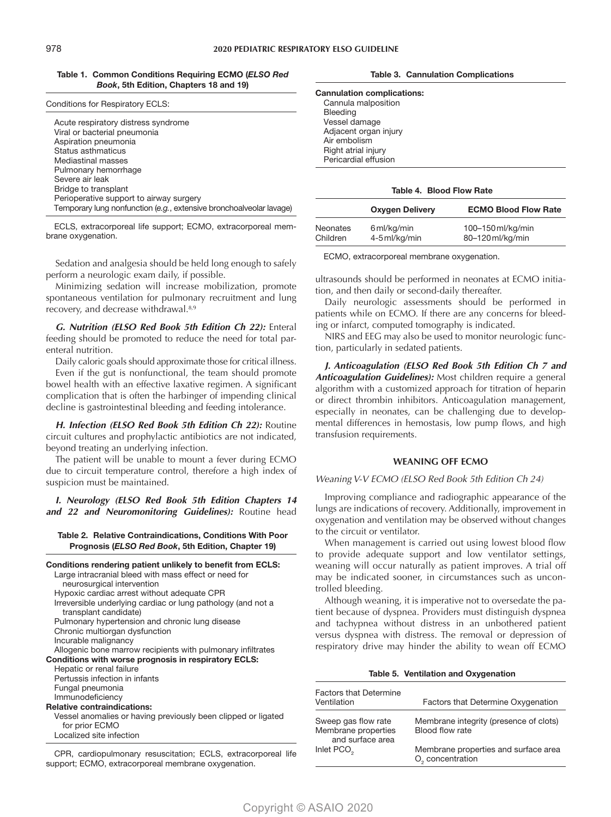**Table 1. Common Conditions Requiring ECMO (***ELSO Red Book***, 5th Edition, Chapters 18 and 19)**

| Conditions for Respiratory ECLS: |  |  |
|----------------------------------|--|--|
|                                  |  |  |

| Acute respiratory distress syndrome<br>Viral or bacterial pneumonia |
|---------------------------------------------------------------------|
| Aspiration pneumonia                                                |
| Status asthmaticus                                                  |
| Mediastinal masses                                                  |
| Pulmonary hemorrhage                                                |
| Severe air leak                                                     |
| Bridge to transplant                                                |
| Perioperative support to airway surgery                             |
| Temporary lung nonfunction (e.g., extensive bronchoalveolar lavage) |

ECLS, extracorporeal life support; ECMO, extracorporeal membrane oxygenation.

Sedation and analgesia should be held long enough to safely perform a neurologic exam daily, if possible.

Minimizing sedation will increase mobilization, promote spontaneous ventilation for pulmonary recruitment and lung recovery, and decrease withdrawal.<sup>8,9</sup>

*G. Nutrition (ELSO Red Book 5th Edition Ch 22):* Enteral feeding should be promoted to reduce the need for total parenteral nutrition.

Daily caloric goals should approximate those for critical illness.

Even if the gut is nonfunctional, the team should promote bowel health with an effective laxative regimen. A significant complication that is often the harbinger of impending clinical decline is gastrointestinal bleeding and feeding intolerance.

*H. Infection (ELSO Red Book 5th Edition Ch 22):* Routine circuit cultures and prophylactic antibiotics are not indicated, beyond treating an underlying infection.

The patient will be unable to mount a fever during ECMO due to circuit temperature control, therefore a high index of suspicion must be maintained.

*I. Neurology (ELSO Red Book 5th Edition Chapters 14 and 22 and Neuromonitoring Guidelines):* Routine head

## **Table 2. Relative Contraindications, Conditions With Poor Prognosis (***ELSO Red Book***, 5th Edition, Chapter 19)**

| Conditions rendering patient unlikely to benefit from ECLS:   |
|---------------------------------------------------------------|
| Large intracranial bleed with mass effect or need for         |
| neurosurgical intervention                                    |
| Hypoxic cardiac arrest without adequate CPR                   |
| Irreversible underlying cardiac or lung pathology (and not a  |
| transplant candidate)                                         |
| Pulmonary hypertension and chronic lung disease               |
| Chronic multiorgan dysfunction                                |
| Incurable malignancy                                          |
| Allogenic bone marrow recipients with pulmonary infiltrates   |
| Conditions with worse prognosis in respiratory ECLS:          |
| Hepatic or renal failure                                      |
| Pertussis infection in infants                                |
| Fungal pneumonia                                              |
| Immunodeficiency                                              |
| <b>Relative contraindications:</b>                            |
| Vessel anomalies or having previously been clipped or ligated |
| for prior ECMO                                                |
| Localized site infection                                      |
| $  -$                                                         |

CPR, cardiopulmonary resuscitation; ECLS, extracorporeal life support; ECMO, extracorporeal membrane oxygenation.

| <b>Table 3. Cannulation Complications</b> |  |  |  |
|-------------------------------------------|--|--|--|
|-------------------------------------------|--|--|--|

**Cannulation complications:** Cannula malposition Bleeding Vessel damage Adjacent organ injury Air embolism Right atrial injury Pericardial effusion

## **Table 4. Blood Flow Rate**

|                 | <b>Oxygen Delivery</b> | <b>ECMO Blood Flow Rate</b> |
|-----------------|------------------------|-----------------------------|
| <b>Neonates</b> | 6 ml/kg/min            | 100-150 ml/kg/min           |
| Children        | 4-5 ml/kg/min          | 80-120 ml/kg/min            |

ECMO, extracorporeal membrane oxygenation.

ultrasounds should be performed in neonates at ECMO initiation, and then daily or second-daily thereafter.

Daily neurologic assessments should be performed in patients while on ECMO. If there are any concerns for bleeding or infarct, computed tomography is indicated.

NIRS and EEG may also be used to monitor neurologic function, particularly in sedated patients.

*J. Anticoagulation (ELSO Red Book 5th Edition Ch 7 and Anticoagulation Guidelines):* Most children require a general algorithm with a customized approach for titration of heparin or direct thrombin inhibitors. Anticoagulation management, especially in neonates, can be challenging due to developmental differences in hemostasis, low pump flows, and high transfusion requirements.

# **WEANING OFF ECMO**

## *Weaning V-V ECMO (ELSO Red Book 5th Edition Ch 24)*

Improving compliance and radiographic appearance of the lungs are indications of recovery. Additionally, improvement in oxygenation and ventilation may be observed without changes to the circuit or ventilator.

When management is carried out using lowest blood flow to provide adequate support and low ventilator settings, weaning will occur naturally as patient improves. A trial off may be indicated sooner, in circumstances such as uncontrolled bleeding.

Although weaning, it is imperative not to oversedate the patient because of dyspnea. Providers must distinguish dyspnea and tachypnea without distress in an unbothered patient versus dyspnea with distress. The removal or depression of respiratory drive may hinder the ability to wean off ECMO

### **Table 5. Ventilation and Oxygenation**

| <b>Factors that Determine</b><br>Ventilation                   | Factors that Determine Oxygenation                                   |
|----------------------------------------------------------------|----------------------------------------------------------------------|
| Sweep gas flow rate<br>Membrane properties<br>and surface area | Membrane integrity (presence of clots)<br>Blood flow rate            |
| Inlet PCO <sub>2</sub>                                         | Membrane properties and surface area<br>O <sub>2</sub> concentration |